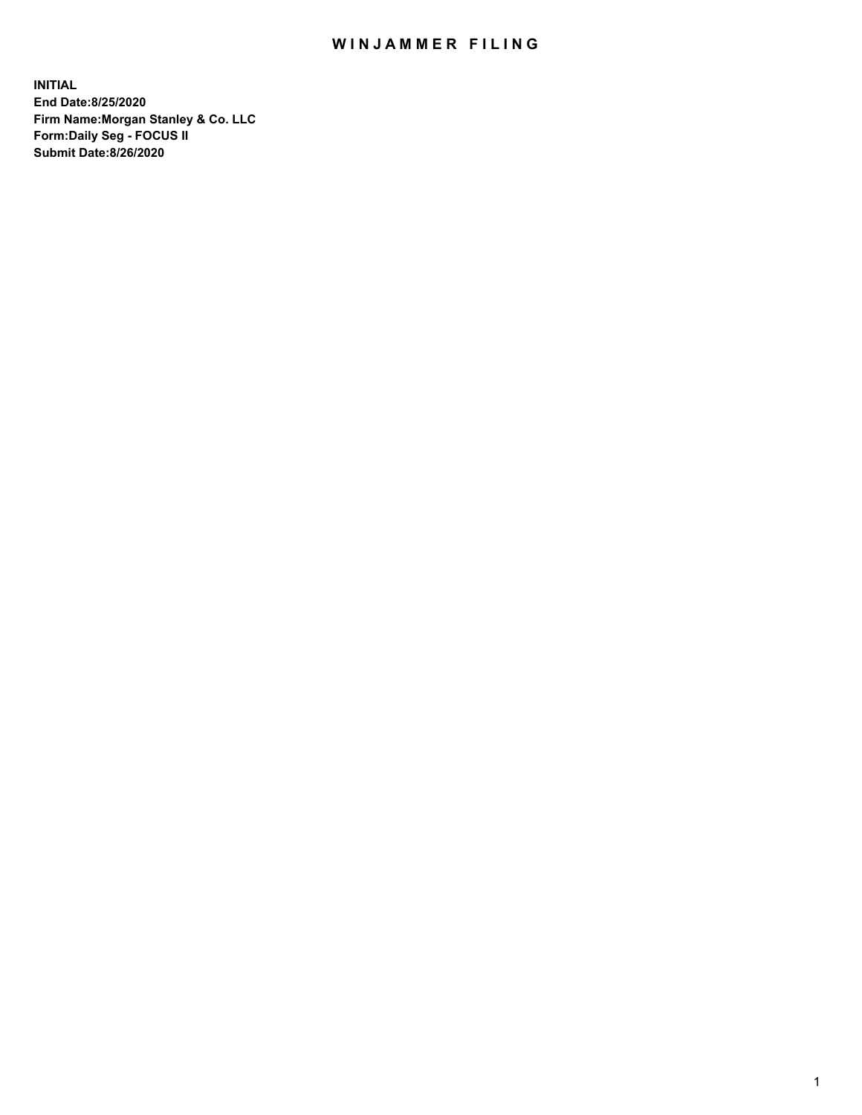## WIN JAMMER FILING

**INITIAL End Date:8/25/2020 Firm Name:Morgan Stanley & Co. LLC Form:Daily Seg - FOCUS II Submit Date:8/26/2020**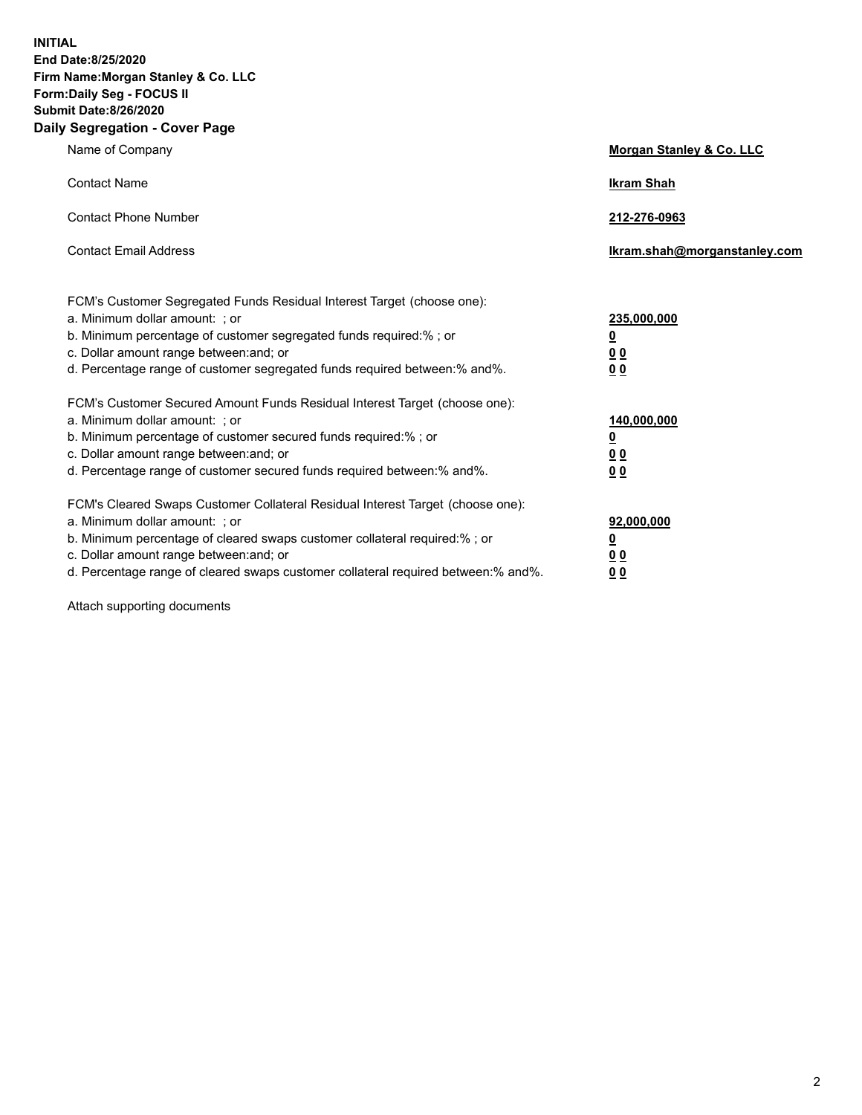**INITIAL End Date:8/25/2020 Firm Name:Morgan Stanley & Co. LLC Form:Daily Seg - FOCUS II Submit Date:8/26/2020 Daily Segregation - Cover Page**

| Name of Company                                                                                                                                                                                                                                                                                                                | <b>Morgan Stanley &amp; Co. LLC</b>                    |
|--------------------------------------------------------------------------------------------------------------------------------------------------------------------------------------------------------------------------------------------------------------------------------------------------------------------------------|--------------------------------------------------------|
| <b>Contact Name</b>                                                                                                                                                                                                                                                                                                            | <b>Ikram Shah</b>                                      |
| <b>Contact Phone Number</b>                                                                                                                                                                                                                                                                                                    | 212-276-0963                                           |
| <b>Contact Email Address</b>                                                                                                                                                                                                                                                                                                   | Ikram.shah@morganstanley.com                           |
| FCM's Customer Segregated Funds Residual Interest Target (choose one):<br>a. Minimum dollar amount: : or<br>b. Minimum percentage of customer segregated funds required:%; or<br>c. Dollar amount range between: and; or<br>d. Percentage range of customer segregated funds required between:% and%.                          | 235,000,000<br><u>0</u><br><u>00</u><br><u>00</u>      |
| FCM's Customer Secured Amount Funds Residual Interest Target (choose one):<br>a. Minimum dollar amount: ; or<br>b. Minimum percentage of customer secured funds required:%; or<br>c. Dollar amount range between: and; or<br>d. Percentage range of customer secured funds required between:% and%.                            | 140,000,000<br><u>0</u><br><u>00</u><br>0 <sub>0</sub> |
| FCM's Cleared Swaps Customer Collateral Residual Interest Target (choose one):<br>a. Minimum dollar amount: ; or<br>b. Minimum percentage of cleared swaps customer collateral required:% ; or<br>c. Dollar amount range between: and; or<br>d. Percentage range of cleared swaps customer collateral required between:% and%. | 92,000,000<br><u>0</u><br><u>00</u><br>00              |

Attach supporting documents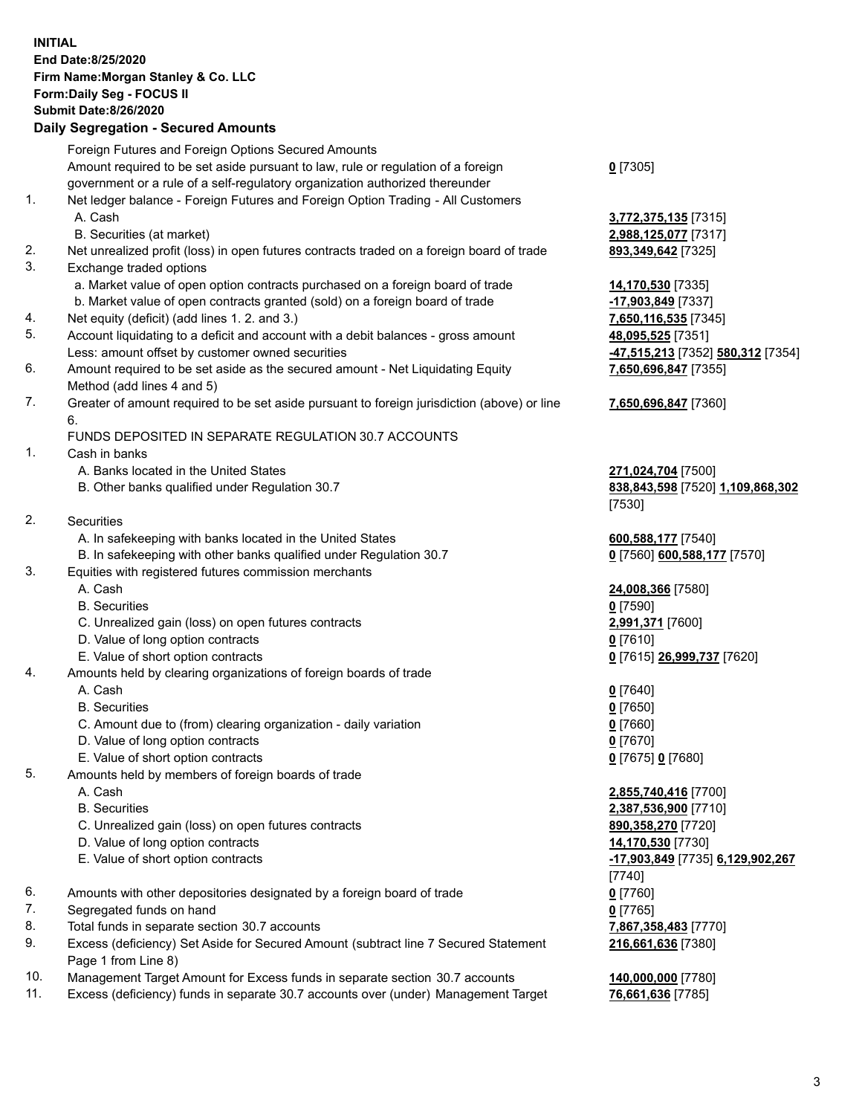## **INITIAL End Date:8/25/2020 Firm Name:Morgan Stanley & Co. LLC Form:Daily Seg - FOCUS II Submit Date:8/26/2020**

## **Daily Segregation - Secured Amounts**

|     | Foreign Futures and Foreign Options Secured Amounts                                                        |                                   |
|-----|------------------------------------------------------------------------------------------------------------|-----------------------------------|
|     | Amount required to be set aside pursuant to law, rule or regulation of a foreign                           | $Q$ [7305]                        |
|     | government or a rule of a self-regulatory organization authorized thereunder                               |                                   |
| 1.  | Net ledger balance - Foreign Futures and Foreign Option Trading - All Customers                            |                                   |
|     | A. Cash                                                                                                    | 3,772,375,135 [7315]              |
|     | B. Securities (at market)                                                                                  | 2,988,125,077 [7317]              |
| 2.  | Net unrealized profit (loss) in open futures contracts traded on a foreign board of trade                  | 893,349,642 [7325]                |
| 3.  | Exchange traded options                                                                                    |                                   |
|     | a. Market value of open option contracts purchased on a foreign board of trade                             | 14,170,530 [7335]                 |
|     | b. Market value of open contracts granted (sold) on a foreign board of trade                               | -17,903,849 [7337]                |
| 4.  | Net equity (deficit) (add lines 1. 2. and 3.)                                                              | 7,650,116,535 [7345]              |
| 5.  | Account liquidating to a deficit and account with a debit balances - gross amount                          | 48,095,525 [7351]                 |
|     | Less: amount offset by customer owned securities                                                           | -47,515,213 [7352] 580,312 [7354] |
| 6.  | Amount required to be set aside as the secured amount - Net Liquidating Equity                             | 7,650,696,847 [7355]              |
|     | Method (add lines 4 and 5)                                                                                 |                                   |
| 7.  | Greater of amount required to be set aside pursuant to foreign jurisdiction (above) or line                | 7,650,696,847 [7360]              |
|     | 6.                                                                                                         |                                   |
|     | FUNDS DEPOSITED IN SEPARATE REGULATION 30.7 ACCOUNTS                                                       |                                   |
| 1.  | Cash in banks                                                                                              |                                   |
|     | A. Banks located in the United States                                                                      | 271,024,704 [7500]                |
|     | B. Other banks qualified under Regulation 30.7                                                             | 838,843,598 [7520] 1,109,868,302  |
|     |                                                                                                            | [7530]                            |
| 2.  | <b>Securities</b>                                                                                          |                                   |
|     | A. In safekeeping with banks located in the United States                                                  | 600,588,177 [7540]                |
|     | B. In safekeeping with other banks qualified under Regulation 30.7                                         | 0 [7560] 600,588,177 [7570]       |
| 3.  | Equities with registered futures commission merchants                                                      |                                   |
|     | A. Cash                                                                                                    | 24,008,366 [7580]                 |
|     | <b>B.</b> Securities                                                                                       | $0$ [7590]                        |
|     | C. Unrealized gain (loss) on open futures contracts                                                        | 2,991,371 [7600]                  |
|     | D. Value of long option contracts                                                                          | $0$ [7610]                        |
|     | E. Value of short option contracts                                                                         | 0 [7615] 26,999,737 [7620]        |
| 4.  | Amounts held by clearing organizations of foreign boards of trade                                          |                                   |
|     | A. Cash                                                                                                    | $0$ [7640]                        |
|     | <b>B.</b> Securities                                                                                       | $0$ [7650]                        |
|     | C. Amount due to (from) clearing organization - daily variation                                            | $0$ [7660]                        |
|     | D. Value of long option contracts                                                                          | $0$ [7670]                        |
|     | E. Value of short option contracts                                                                         | 0 [7675] 0 [7680]                 |
| 5.  | Amounts held by members of foreign boards of trade                                                         |                                   |
|     | A. Cash                                                                                                    | 2,855,740,416 [7700]              |
|     | <b>B.</b> Securities                                                                                       | 2,387,536,900 [7710]              |
|     | C. Unrealized gain (loss) on open futures contracts                                                        | 890,358,270 [7720]                |
|     | D. Value of long option contracts                                                                          | 14,170,530 [7730]                 |
|     | E. Value of short option contracts                                                                         | -17,903,849 [7735] 6,129,902,267  |
|     |                                                                                                            | [7740]                            |
| 6.  | Amounts with other depositories designated by a foreign board of trade                                     | $0$ [7760]                        |
| 7.  | Segregated funds on hand                                                                                   | $0$ [7765]                        |
| 8.  | Total funds in separate section 30.7 accounts                                                              | 7,867,358,483 [7770]              |
| 9.  | Excess (deficiency) Set Aside for Secured Amount (subtract line 7 Secured Statement<br>Page 1 from Line 8) | 216,661,636 [7380]                |
| 10. | Management Target Amount for Excess funds in separate section 30.7 accounts                                | 140,000,000 [7780]                |
|     |                                                                                                            |                                   |

11. Excess (deficiency) funds in separate 30.7 accounts over (under) Management Target **76,661,636** [7785]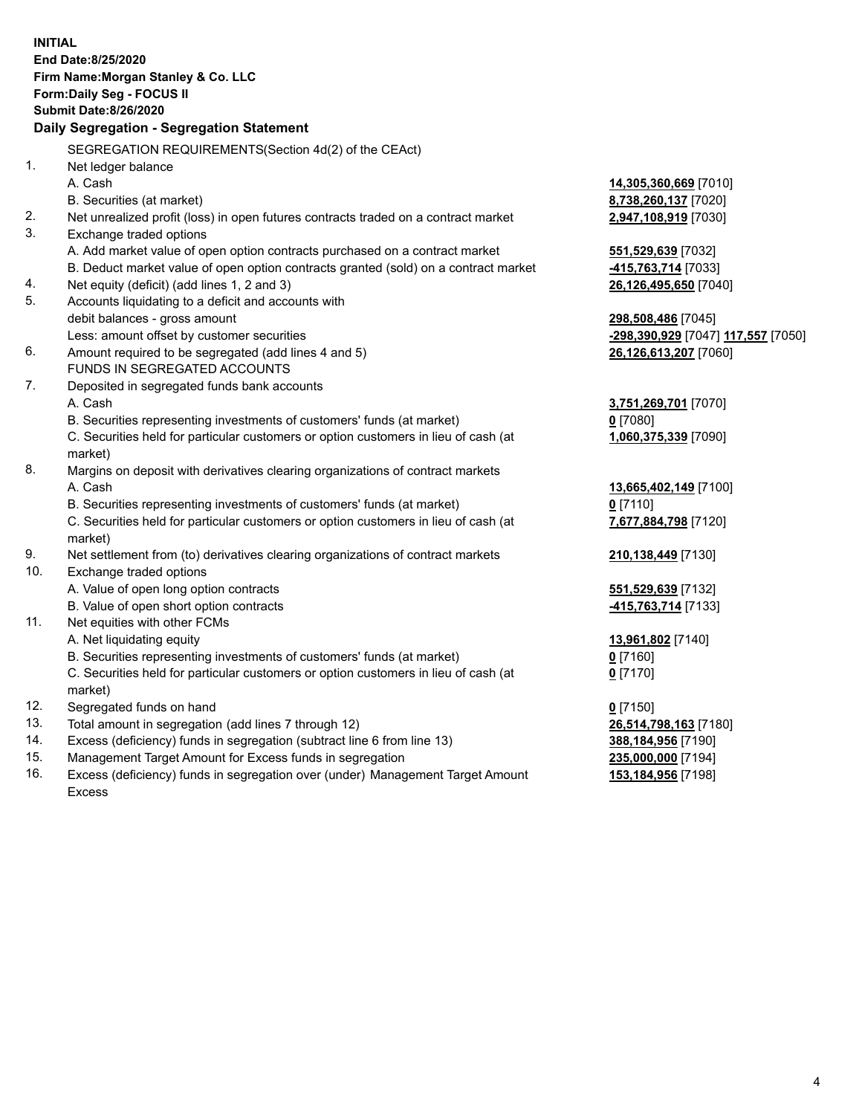|     | <b>INITIAL</b><br>End Date:8/25/2020<br>Firm Name: Morgan Stanley & Co. LLC<br><b>Form:Daily Seg - FOCUS II</b><br><b>Submit Date:8/26/2020</b><br>Daily Segregation - Segregation Statement |                                                 |
|-----|----------------------------------------------------------------------------------------------------------------------------------------------------------------------------------------------|-------------------------------------------------|
|     | SEGREGATION REQUIREMENTS (Section 4d(2) of the CEAct)                                                                                                                                        |                                                 |
| 1.  | Net ledger balance                                                                                                                                                                           |                                                 |
|     | A. Cash                                                                                                                                                                                      | 14,305,360,669 [7010]                           |
|     | B. Securities (at market)                                                                                                                                                                    | <u>8,738,260,137</u> [7020]                     |
| 2.  | Net unrealized profit (loss) in open futures contracts traded on a contract market                                                                                                           | 2,947,108,919 [7030]                            |
| 3.  | Exchange traded options                                                                                                                                                                      |                                                 |
|     | A. Add market value of open option contracts purchased on a contract market                                                                                                                  | <u>551,529,639</u> [7032]                       |
|     | B. Deduct market value of open option contracts granted (sold) on a contract market                                                                                                          | <mark>-415,763,714</mark> [7033]                |
| 4.  | Net equity (deficit) (add lines 1, 2 and 3)                                                                                                                                                  | <u>26,126,495,650</u> [7040]                    |
| 5.  | Accounts liquidating to a deficit and accounts with                                                                                                                                          |                                                 |
|     | debit balances - gross amount                                                                                                                                                                | <u>298,508,486</u> [7045]                       |
|     | Less: amount offset by customer securities                                                                                                                                                   | <mark>-298,390,929</mark> [7047] 117,557 [7050] |
| 6.  | Amount required to be segregated (add lines 4 and 5)                                                                                                                                         | <u>26,126,613,207</u> [7060]                    |
|     | FUNDS IN SEGREGATED ACCOUNTS                                                                                                                                                                 |                                                 |
| 7.  | Deposited in segregated funds bank accounts                                                                                                                                                  |                                                 |
|     | A. Cash                                                                                                                                                                                      | <u>3,751,269,701</u> [7070]                     |
|     | B. Securities representing investments of customers' funds (at market)                                                                                                                       | 0 [7080]                                        |
|     | C. Securities held for particular customers or option customers in lieu of cash (at<br>market)                                                                                               | 1,060,375,339 [7090]                            |
| 8.  | Margins on deposit with derivatives clearing organizations of contract markets                                                                                                               |                                                 |
|     | A. Cash                                                                                                                                                                                      | 13,665,402,149 [7100]                           |
|     | B. Securities representing investments of customers' funds (at market)                                                                                                                       | 0[7110]                                         |
|     | C. Securities held for particular customers or option customers in lieu of cash (at<br>market)                                                                                               | 7,677,884,798 [7120]                            |
| 9.  | Net settlement from (to) derivatives clearing organizations of contract markets                                                                                                              | <u>210,138,449</u> [7130]                       |
| 10. | Exchange traded options                                                                                                                                                                      |                                                 |
|     | A. Value of open long option contracts                                                                                                                                                       | <u>551,529,639</u> [7132]                       |
|     | B. Value of open short option contracts                                                                                                                                                      | 415,763,714 [7133]                              |
| 11. | Net equities with other FCMs                                                                                                                                                                 |                                                 |
|     | A. Net liquidating equity                                                                                                                                                                    | <u>13,961,802</u> [7140]                        |
|     | B. Securities representing investments of customers' funds (at market)                                                                                                                       | $0$ [7160]                                      |
|     | C. Securities held for particular customers or option customers in lieu of cash (at<br>market)                                                                                               | $0$ [7170]                                      |
| 12. | Segregated funds on hand                                                                                                                                                                     | $0$ [7150]                                      |
| 13. | Total amount in segregation (add lines 7 through 12)                                                                                                                                         | 26,514,798,163 [7180]                           |
| 14. | Excess (deficiency) funds in segregation (subtract line 6 from line 13)                                                                                                                      | <u>388,184,956</u> [7190]                       |
| 15. | Management Target Amount for Excess funds in segregation                                                                                                                                     | 235,000,000 [7194]                              |

16. Excess (deficiency) funds in segregation over (under) Management Target Amount Excess

**153,184,956** [7198]